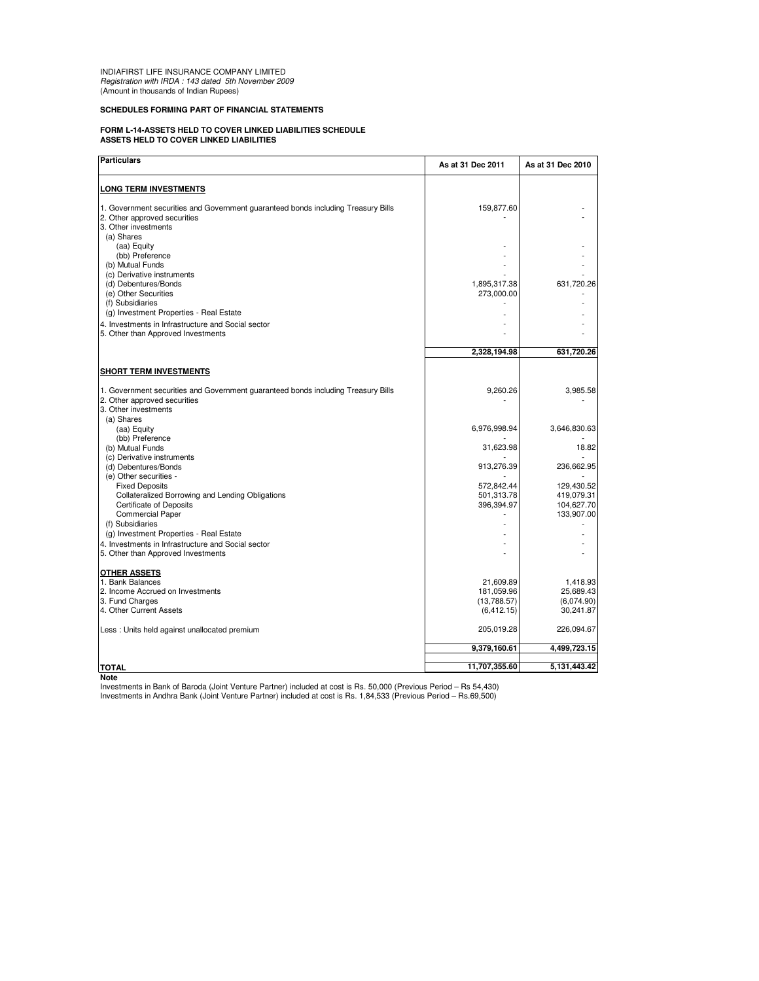INDIAFIRST LIFE INSURANCE COMPANY LIMITED Registration with IRDA : 143 dated 5th November 2009 (Amount in thousands of Indian Rupees)

## **SCHEDULES FORMING PART OF FINANCIAL STATEMENTS**

## **FORM L-14-ASSETS HELD TO COVER LINKED LIABILITIES SCHEDULE ASSETS HELD TO COVER LINKED LIABILITIES**

| <b>LONG TERM INVESTMENTS</b><br>1. Government securities and Government guaranteed bonds including Treasury Bills<br>159,877.60<br>(a) Shares<br>(aa) Equity<br>(bb) Preference<br>(b) Mutual Funds<br>(c) Derivative instruments<br>(d) Debentures/Bonds<br>1,895,317.38<br>631,720.26<br>(e) Other Securities<br>273,000.00<br>(f) Subsidiaries<br>(g) Investment Properties - Real Estate<br>4. Investments in Infrastructure and Social sector<br>2.328.194.98<br>631,720.26<br>9,260.26<br>3. Other investments<br>(a) Shares<br>6,976,998.94<br>3,646,830.63<br>(aa) Equity<br>(bb) Preference<br>(b) Mutual Funds<br>31,623.98<br>(c) Derivative instruments<br>(d) Debentures/Bonds<br>913,276.39<br>(e) Other securities -<br><b>Fixed Deposits</b><br>572,842.44<br>129,430.52<br>501,313.78<br>419,079.31<br>Collateralized Borrowing and Lending Obligations<br><b>Certificate of Deposits</b><br>396,394.97<br>104,627.70<br><b>Commercial Paper</b><br>(f) Subsidiaries<br>(g) Investment Properties - Real Estate<br>4. Investments in Infrastructure and Social sector | As at 31 Dec 2010       |
|----------------------------------------------------------------------------------------------------------------------------------------------------------------------------------------------------------------------------------------------------------------------------------------------------------------------------------------------------------------------------------------------------------------------------------------------------------------------------------------------------------------------------------------------------------------------------------------------------------------------------------------------------------------------------------------------------------------------------------------------------------------------------------------------------------------------------------------------------------------------------------------------------------------------------------------------------------------------------------------------------------------------------------------------------------------------------------------|-------------------------|
| 2. Other approved securities                                                                                                                                                                                                                                                                                                                                                                                                                                                                                                                                                                                                                                                                                                                                                                                                                                                                                                                                                                                                                                                           |                         |
| 3. Other investments<br>5. Other than Approved Investments<br><b>SHORT TERM INVESTMENTS</b><br>1. Government securities and Government guaranteed bonds including Treasury Bills<br>2. Other approved securities                                                                                                                                                                                                                                                                                                                                                                                                                                                                                                                                                                                                                                                                                                                                                                                                                                                                       |                         |
|                                                                                                                                                                                                                                                                                                                                                                                                                                                                                                                                                                                                                                                                                                                                                                                                                                                                                                                                                                                                                                                                                        |                         |
|                                                                                                                                                                                                                                                                                                                                                                                                                                                                                                                                                                                                                                                                                                                                                                                                                                                                                                                                                                                                                                                                                        |                         |
|                                                                                                                                                                                                                                                                                                                                                                                                                                                                                                                                                                                                                                                                                                                                                                                                                                                                                                                                                                                                                                                                                        |                         |
|                                                                                                                                                                                                                                                                                                                                                                                                                                                                                                                                                                                                                                                                                                                                                                                                                                                                                                                                                                                                                                                                                        |                         |
|                                                                                                                                                                                                                                                                                                                                                                                                                                                                                                                                                                                                                                                                                                                                                                                                                                                                                                                                                                                                                                                                                        |                         |
|                                                                                                                                                                                                                                                                                                                                                                                                                                                                                                                                                                                                                                                                                                                                                                                                                                                                                                                                                                                                                                                                                        |                         |
|                                                                                                                                                                                                                                                                                                                                                                                                                                                                                                                                                                                                                                                                                                                                                                                                                                                                                                                                                                                                                                                                                        |                         |
|                                                                                                                                                                                                                                                                                                                                                                                                                                                                                                                                                                                                                                                                                                                                                                                                                                                                                                                                                                                                                                                                                        |                         |
|                                                                                                                                                                                                                                                                                                                                                                                                                                                                                                                                                                                                                                                                                                                                                                                                                                                                                                                                                                                                                                                                                        |                         |
|                                                                                                                                                                                                                                                                                                                                                                                                                                                                                                                                                                                                                                                                                                                                                                                                                                                                                                                                                                                                                                                                                        |                         |
|                                                                                                                                                                                                                                                                                                                                                                                                                                                                                                                                                                                                                                                                                                                                                                                                                                                                                                                                                                                                                                                                                        |                         |
|                                                                                                                                                                                                                                                                                                                                                                                                                                                                                                                                                                                                                                                                                                                                                                                                                                                                                                                                                                                                                                                                                        |                         |
|                                                                                                                                                                                                                                                                                                                                                                                                                                                                                                                                                                                                                                                                                                                                                                                                                                                                                                                                                                                                                                                                                        |                         |
|                                                                                                                                                                                                                                                                                                                                                                                                                                                                                                                                                                                                                                                                                                                                                                                                                                                                                                                                                                                                                                                                                        | 3,985.58                |
|                                                                                                                                                                                                                                                                                                                                                                                                                                                                                                                                                                                                                                                                                                                                                                                                                                                                                                                                                                                                                                                                                        |                         |
|                                                                                                                                                                                                                                                                                                                                                                                                                                                                                                                                                                                                                                                                                                                                                                                                                                                                                                                                                                                                                                                                                        |                         |
|                                                                                                                                                                                                                                                                                                                                                                                                                                                                                                                                                                                                                                                                                                                                                                                                                                                                                                                                                                                                                                                                                        |                         |
|                                                                                                                                                                                                                                                                                                                                                                                                                                                                                                                                                                                                                                                                                                                                                                                                                                                                                                                                                                                                                                                                                        |                         |
|                                                                                                                                                                                                                                                                                                                                                                                                                                                                                                                                                                                                                                                                                                                                                                                                                                                                                                                                                                                                                                                                                        | 18.82                   |
|                                                                                                                                                                                                                                                                                                                                                                                                                                                                                                                                                                                                                                                                                                                                                                                                                                                                                                                                                                                                                                                                                        |                         |
|                                                                                                                                                                                                                                                                                                                                                                                                                                                                                                                                                                                                                                                                                                                                                                                                                                                                                                                                                                                                                                                                                        | 236,662.95              |
|                                                                                                                                                                                                                                                                                                                                                                                                                                                                                                                                                                                                                                                                                                                                                                                                                                                                                                                                                                                                                                                                                        |                         |
|                                                                                                                                                                                                                                                                                                                                                                                                                                                                                                                                                                                                                                                                                                                                                                                                                                                                                                                                                                                                                                                                                        |                         |
|                                                                                                                                                                                                                                                                                                                                                                                                                                                                                                                                                                                                                                                                                                                                                                                                                                                                                                                                                                                                                                                                                        |                         |
|                                                                                                                                                                                                                                                                                                                                                                                                                                                                                                                                                                                                                                                                                                                                                                                                                                                                                                                                                                                                                                                                                        | 133,907.00              |
|                                                                                                                                                                                                                                                                                                                                                                                                                                                                                                                                                                                                                                                                                                                                                                                                                                                                                                                                                                                                                                                                                        |                         |
|                                                                                                                                                                                                                                                                                                                                                                                                                                                                                                                                                                                                                                                                                                                                                                                                                                                                                                                                                                                                                                                                                        |                         |
|                                                                                                                                                                                                                                                                                                                                                                                                                                                                                                                                                                                                                                                                                                                                                                                                                                                                                                                                                                                                                                                                                        |                         |
| 5. Other than Approved Investments                                                                                                                                                                                                                                                                                                                                                                                                                                                                                                                                                                                                                                                                                                                                                                                                                                                                                                                                                                                                                                                     |                         |
| <b>OTHER ASSETS</b>                                                                                                                                                                                                                                                                                                                                                                                                                                                                                                                                                                                                                                                                                                                                                                                                                                                                                                                                                                                                                                                                    |                         |
| 1. Bank Balances<br>21,609.89                                                                                                                                                                                                                                                                                                                                                                                                                                                                                                                                                                                                                                                                                                                                                                                                                                                                                                                                                                                                                                                          | 1,418.93                |
| 181,059.96<br>2. Income Accrued on Investments                                                                                                                                                                                                                                                                                                                                                                                                                                                                                                                                                                                                                                                                                                                                                                                                                                                                                                                                                                                                                                         | 25,689.43               |
| 3. Fund Charges<br>(13,788.57)<br>4. Other Current Assets<br>(6, 412.15)                                                                                                                                                                                                                                                                                                                                                                                                                                                                                                                                                                                                                                                                                                                                                                                                                                                                                                                                                                                                               | (6,074.90)<br>30,241.87 |
|                                                                                                                                                                                                                                                                                                                                                                                                                                                                                                                                                                                                                                                                                                                                                                                                                                                                                                                                                                                                                                                                                        |                         |
| 205,019.28<br>Less: Units held against unallocated premium                                                                                                                                                                                                                                                                                                                                                                                                                                                                                                                                                                                                                                                                                                                                                                                                                                                                                                                                                                                                                             | 226,094.67              |
| 9,379,160.61<br>4,499,723.15                                                                                                                                                                                                                                                                                                                                                                                                                                                                                                                                                                                                                                                                                                                                                                                                                                                                                                                                                                                                                                                           |                         |
| 5,131,443.42<br>11,707,355.60<br><b>TOTAL</b>                                                                                                                                                                                                                                                                                                                                                                                                                                                                                                                                                                                                                                                                                                                                                                                                                                                                                                                                                                                                                                          |                         |

**Note**

Investments in Bank of Baroda (Joint Venture Partner) included at cost is Rs. 50,000 (Previous Period – Rs 54,430)<br>Investments in Andhra Bank (Joint Venture Partner) included at cost is Rs. 1,84,533 (Previous Period – Rs.6